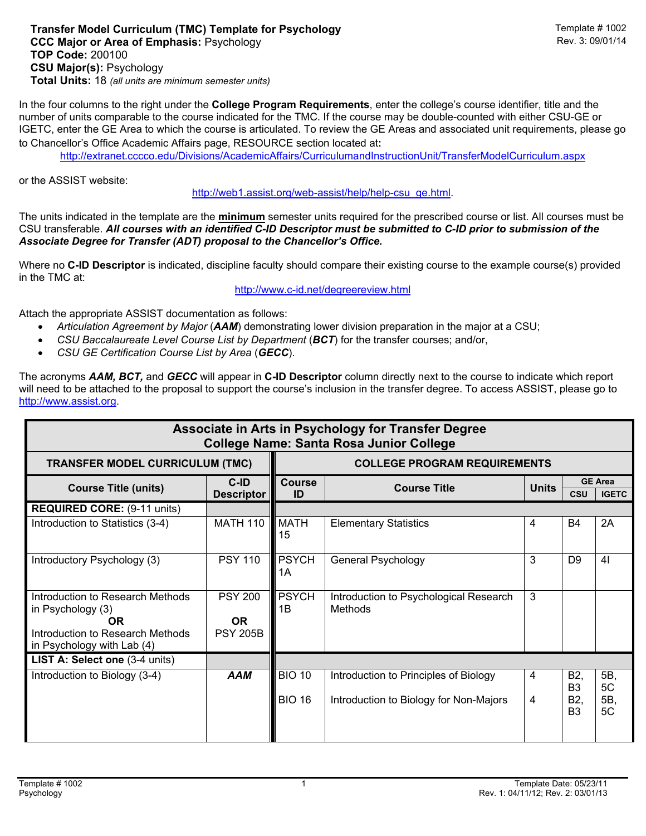## **Transfer Model Curriculum (TMC) Template for Psychology** Template # 1002 **CCC Major or Area of Emphasis: Psychology TOP Code:** 200100 **CSU Major(s):** Psychology **Total Units:** 18 *(all units are minimum semester units)*

In the four columns to the right under the **College Program Requirements**, enter the college's course identifier, title and the number of units comparable to the course indicated for the TMC. If the course may be double-counted with either CSU-GE or IGETC, enter the GE Area to which the course is articulated. To review the GE Areas and associated unit requirements, please go to Chancellor's Office Academic Affairs page, RESOURCE section located at:

http://extranet.cccco.edu/Divisions/AcademicAffairs/CurriculumandInstructionUnit/TransferModelCurriculum.aspx

or the ASSIST website:

http://web1.assist.org/web-assist/help/help-csu\_ge.html.

The units indicated in the template are the **minimum** semester units required for the prescribed course or list. All courses must be CSU transferable. *All courses with an identified C-ID Descriptor must be submitted to C-ID prior to submission of the Associate Degree for Transfer (ADT) proposal to the Chancellor's Office.*

Where no **C-ID Descriptor** is indicated, discipline faculty should compare their existing course to the example course(s) provided in the TMC at:

## http://www.c-id.net/degreereview.html

Attach the appropriate ASSIST documentation as follows:

- *Articulation Agreement by Major* (*AAM*) demonstrating lower division preparation in the major at a CSU;
- *CSU Baccalaureate Level Course List by Department* (*BCT*) for the transfer courses; and/or,
- *CSU GE Certification Course List by Area* (*GECC*).

The acronyms *AAM, BCT,* and *GECC* will appear in **C-ID Descriptor** column directly next to the course to indicate which report will need to be attached to the proposal to support the course's inclusion in the transfer degree. To access ASSIST, please go to http://www.assist.org.

| Associate in Arts in Psychology for Transfer Degree<br><b>College Name: Santa Rosa Junior College</b>                         |                                                |                                     |                                                                                 |                |                                                |                                |  |  |  |  |  |
|-------------------------------------------------------------------------------------------------------------------------------|------------------------------------------------|-------------------------------------|---------------------------------------------------------------------------------|----------------|------------------------------------------------|--------------------------------|--|--|--|--|--|
| <b>TRANSFER MODEL CURRICULUM (TMC)</b>                                                                                        |                                                | <b>COLLEGE PROGRAM REQUIREMENTS</b> |                                                                                 |                |                                                |                                |  |  |  |  |  |
| <b>Course Title (units)</b>                                                                                                   | $C$ -ID<br><b>Descriptor</b>                   | <b>Course</b><br>ID                 | <b>Course Title</b>                                                             | <b>Units</b>   | <b>CSU</b>                                     | <b>GE Area</b><br><b>IGETC</b> |  |  |  |  |  |
| <b>REQUIRED CORE: (9-11 units)</b>                                                                                            |                                                |                                     |                                                                                 |                |                                                |                                |  |  |  |  |  |
| Introduction to Statistics (3-4)                                                                                              | <b>MATH 110</b>                                | <b>MATH</b><br>15                   | <b>Elementary Statistics</b>                                                    | $\overline{4}$ | <b>B4</b>                                      | 2A                             |  |  |  |  |  |
| Introductory Psychology (3)                                                                                                   | <b>PSY 110</b>                                 | <b>PSYCH</b><br>1Α                  | General Psychology                                                              | 3              | D <sub>9</sub>                                 | 41                             |  |  |  |  |  |
| Introduction to Research Methods<br>in Psychology (3)<br>0R<br>Introduction to Research Methods<br>in Psychology with Lab (4) | <b>PSY 200</b><br><b>OR</b><br><b>PSY 205B</b> | <b>PSYCH</b><br>1Β                  | Introduction to Psychological Research<br>Methods                               | 3              |                                                |                                |  |  |  |  |  |
| LIST A: Select one (3-4 units)                                                                                                |                                                |                                     |                                                                                 |                |                                                |                                |  |  |  |  |  |
| Introduction to Biology (3-4)                                                                                                 | <b>AAM</b>                                     | <b>BIO 10</b><br><b>BIO 16</b>      | Introduction to Principles of Biology<br>Introduction to Biology for Non-Majors | 4<br>4         | B2,<br>B <sub>3</sub><br>B2,<br>B <sub>3</sub> | 5B,<br>5C<br>5B,<br>5C         |  |  |  |  |  |